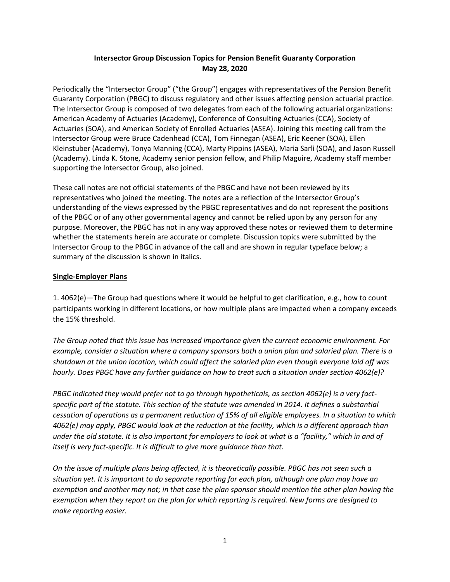# **Intersector Group Discussion Topics for Pension Benefit Guaranty Corporation May 28, 2020**

Periodically the "Intersector Group" ("the Group") engages with representatives of the Pension Benefit Guaranty Corporation (PBGC) to discuss regulatory and other issues affecting pension actuarial practice. The Intersector Group is composed of two delegates from each of the following actuarial organizations: American Academy of Actuaries (Academy), Conference of Consulting Actuaries (CCA), Society of Actuaries (SOA), and American Society of Enrolled Actuaries (ASEA). Joining this meeting call from the Intersector Group were Bruce Cadenhead (CCA), Tom Finnegan (ASEA), Eric Keener (SOA), Ellen Kleinstuber (Academy), Tonya Manning (CCA), Marty Pippins (ASEA), Maria Sarli (SOA), and Jason Russell (Academy). Linda K. Stone, Academy senior pension fellow, and Philip Maguire, Academy staff member supporting the Intersector Group, also joined.

These call notes are not official statements of the PBGC and have not been reviewed by its representatives who joined the meeting. The notes are a reflection of the Intersector Group's understanding of the views expressed by the PBGC representatives and do not represent the positions of the PBGC or of any other governmental agency and cannot be relied upon by any person for any purpose. Moreover, the PBGC has not in any way approved these notes or reviewed them to determine whether the statements herein are accurate or complete. Discussion topics were submitted by the Intersector Group to the PBGC in advance of the call and are shown in regular typeface below; a summary of the discussion is shown in italics.

### **Single-Employer Plans**

1. 4062(e)—The Group had questions where it would be helpful to get clarification, e.g., how to count participants working in different locations, or how multiple plans are impacted when a company exceeds the 15% threshold.

*The Group noted that this issue has increased importance given the current economic environment. For example, consider a situation where a company sponsors both a union plan and salaried plan. There is a shutdown at the union location, which could affect the salaried plan even though everyone laid off was hourly. Does PBGC have any further guidance on how to treat such a situation under section 4062(e)?*

*PBGC indicated they would prefer not to go through hypotheticals, as section 4062(e) is a very factspecific part of the statute. This section of the statute was amended in 2014. It defines a substantial cessation of operations as a permanent reduction of 15% of all eligible employees. In a situation to which 4062(e) may apply, PBGC would look at the reduction at the facility, which is a different approach than under the old statute. It is also important for employers to look at what is a "facility," which in and of itself is very fact-specific. It is difficult to give more guidance than that.*

*On the issue of multiple plans being affected, it is theoretically possible. PBGC has not seen such a situation yet. It is important to do separate reporting for each plan, although one plan may have an exemption and another may not; in that case the plan sponsor should mention the other plan having the exemption when they report on the plan for which reporting is required. New forms are designed to make reporting easier.*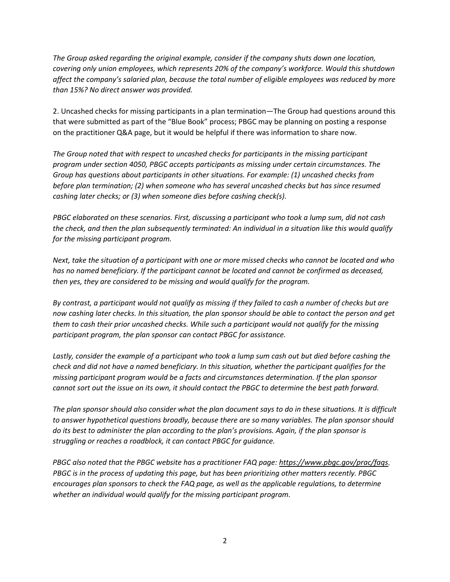*The Group asked regarding the original example, consider if the company shuts down one location, covering only union employees, which represents 20% of the company's workforce. Would this shutdown affect the company's salaried plan, because the total number of eligible employees was reduced by more than 15%? No direct answer was provided.*

2. Uncashed checks for missing participants in a plan termination—The Group had questions around this that were submitted as part of the "Blue Book" process; PBGC may be planning on posting a response on the practitioner Q&A page, but it would be helpful if there was information to share now.

*The Group noted that with respect to uncashed checks for participants in the missing participant program under section 4050, PBGC accepts participants as missing under certain circumstances. The Group has questions about participants in other situations. For example: (1) uncashed checks from before plan termination; (2) when someone who has several uncashed checks but has since resumed cashing later checks; or (3) when someone dies before cashing check(s).*

*PBGC elaborated on these scenarios. First, discussing a participant who took a lump sum, did not cash the check, and then the plan subsequently terminated: An individual in a situation like this would qualify for the missing participant program.*

*Next, take the situation of a participant with one or more missed checks who cannot be located and who has no named beneficiary. If the participant cannot be located and cannot be confirmed as deceased, then yes, they are considered to be missing and would qualify for the program.*

*By contrast, a participant would not qualify as missing if they failed to cash a number of checks but are now cashing later checks. In this situation, the plan sponsor should be able to contact the person and get them to cash their prior uncashed checks. While such a participant would not qualify for the missing participant program, the plan sponsor can contact PBGC for assistance.*

*Lastly, consider the example of a participant who took a lump sum cash out but died before cashing the check and did not have a named beneficiary. In this situation, whether the participant qualifies for the missing participant program would be a facts and circumstances determination. If the plan sponsor cannot sort out the issue on its own, it should contact the PBGC to determine the best path forward.* 

*The plan sponsor should also consider what the plan document says to do in these situations. It is difficult to answer hypothetical questions broadly, because there are so many variables. The plan sponsor should do its best to administer the plan according to the plan's provisions. Again, if the plan sponsor is struggling or reaches a roadblock, it can contact PBGC for guidance.*

*PBGC also noted that the PBGC website has a practitioner FAQ page: [https://www.pbgc.gov/prac/faqs.](https://www.pbgc.gov/prac/faqs) PBGC is in the process of updating this page, but has been prioritizing other matters recently. PBGC encourages plan sponsors to check the FAQ page, as well as the applicable regulations, to determine whether an individual would qualify for the missing participant program.*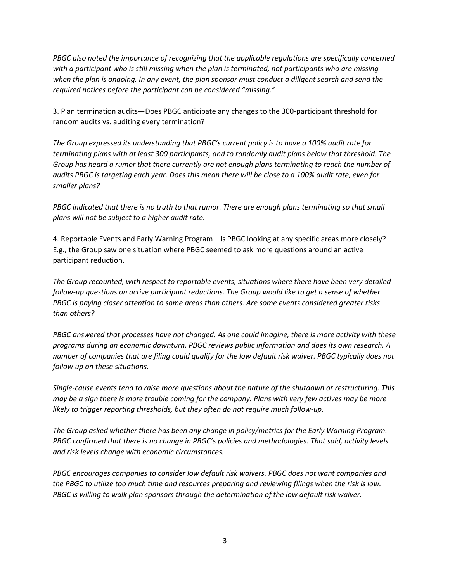*PBGC also noted the importance of recognizing that the applicable regulations are specifically concerned with a participant who is still missing when the plan is terminated, not participants who are missing when the plan is ongoing. In any event, the plan sponsor must conduct a diligent search and send the required notices before the participant can be considered "missing."*

3. Plan termination audits—Does PBGC anticipate any changes to the 300-participant threshold for random audits vs. auditing every termination?

*The Group expressed its understanding that PBGC's current policy is to have a 100% audit rate for terminating plans with at least 300 participants, and to randomly audit plans below that threshold. The Group has heard a rumor that there currently are not enough plans terminating to reach the number of audits PBGC is targeting each year. Does this mean there will be close to a 100% audit rate, even for smaller plans?*

*PBGC indicated that there is no truth to that rumor. There are enough plans terminating so that small plans will not be subject to a higher audit rate.* 

4. Reportable Events and Early Warning Program—Is PBGC looking at any specific areas more closely? E.g., the Group saw one situation where PBGC seemed to ask more questions around an active participant reduction.

*The Group recounted, with respect to reportable events, situations where there have been very detailed follow-up questions on active participant reductions. The Group would like to get a sense of whether PBGC is paying closer attention to some areas than others. Are some events considered greater risks than others?*

*PBGC answered that processes have not changed. As one could imagine, there is more activity with these programs during an economic downturn. PBGC reviews public information and does its own research. A number of companies that are filing could qualify for the low default risk waiver. PBGC typically does not follow up on these situations.*

*Single-cause events tend to raise more questions about the nature of the shutdown or restructuring. This may be a sign there is more trouble coming for the company. Plans with very few actives may be more likely to trigger reporting thresholds, but they often do not require much follow-up.*

*The Group asked whether there has been any change in policy/metrics for the Early Warning Program. PBGC confirmed that there is no change in PBGC's policies and methodologies. That said, activity levels and risk levels change with economic circumstances.*

*PBGC encourages companies to consider low default risk waivers. PBGC does not want companies and the PBGC to utilize too much time and resources preparing and reviewing filings when the risk is low. PBGC is willing to walk plan sponsors through the determination of the low default risk waiver.*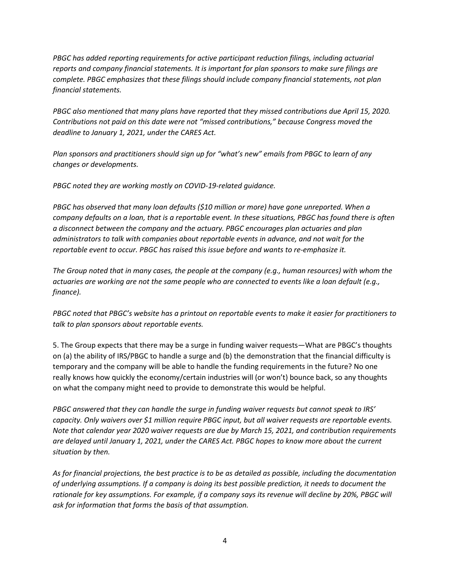*PBGC has added reporting requirements for active participant reduction filings, including actuarial reports and company financial statements. It is important for plan sponsors to make sure filings are complete. PBGC emphasizes that these filings should include company financial statements, not plan financial statements.* 

*PBGC also mentioned that many plans have reported that they missed contributions due April 15, 2020. Contributions not paid on this date were not "missed contributions," because Congress moved the deadline to January 1, 2021, under the CARES Act.*

*Plan sponsors and practitioners should sign up for "what's new" emails from PBGC to learn of any changes or developments.*

*PBGC noted they are working mostly on COVID-19-related guidance.*

*PBGC has observed that many loan defaults (\$10 million or more) have gone unreported. When a company defaults on a loan, that is a reportable event. In these situations, PBGC has found there is often a disconnect between the company and the actuary. PBGC encourages plan actuaries and plan administrators to talk with companies about reportable events in advance, and not wait for the reportable event to occur. PBGC has raised this issue before and wants to re-emphasize it.*

*The Group noted that in many cases, the people at the company (e.g., human resources) with whom the actuaries are working are not the same people who are connected to events like a loan default (e.g., finance).*

*PBGC noted that PBGC's website has a printout on reportable events to make it easier for practitioners to talk to plan sponsors about reportable events.*

5. The Group expects that there may be a surge in funding waiver requests—What are PBGC's thoughts on (a) the ability of IRS/PBGC to handle a surge and (b) the demonstration that the financial difficulty is temporary and the company will be able to handle the funding requirements in the future? No one really knows how quickly the economy/certain industries will (or won't) bounce back, so any thoughts on what the company might need to provide to demonstrate this would be helpful.

*PBGC answered that they can handle the surge in funding waiver requests but cannot speak to IRS' capacity. Only waivers over \$1 million require PBGC input, but all waiver requests are reportable events. Note that calendar year 2020 waiver requests are due by March 15, 2021, and contribution requirements are delayed until January 1, 2021, under the CARES Act. PBGC hopes to know more about the current situation by then.*

*As for financial projections, the best practice is to be as detailed as possible, including the documentation of underlying assumptions. If a company is doing its best possible prediction, it needs to document the rationale for key assumptions. For example, if a company says its revenue will decline by 20%, PBGC will ask for information that forms the basis of that assumption.*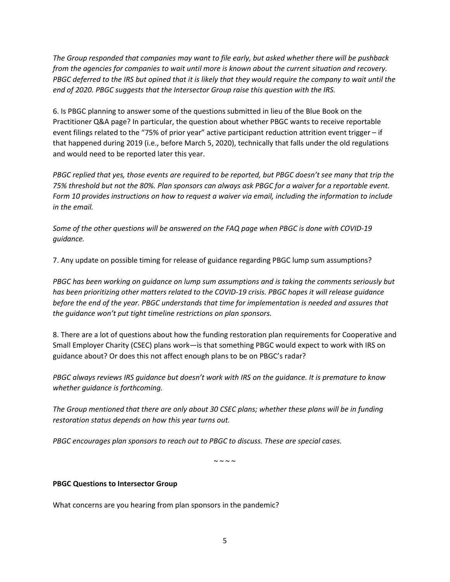*The Group responded that companies may want to file early, but asked whether there will be pushback from the agencies for companies to wait until more is known about the current situation and recovery. PBGC deferred to the IRS but opined that it is likely that they would require the company to wait until the end of 2020. PBGC suggests that the Intersector Group raise this question with the IRS.* 

6. Is PBGC planning to answer some of the questions submitted in lieu of the Blue Book on the Practitioner Q&A page? In particular, the question about whether PBGC wants to receive reportable event filings related to the "75% of prior year" active participant reduction attrition event trigger – if that happened during 2019 (i.e., before March 5, 2020), technically that falls under the old regulations and would need to be reported later this year.

*PBGC replied that yes, those events are required to be reported, but PBGC doesn't see many that trip the 75% threshold but not the 80%. Plan sponsors can always ask PBGC for a waiver for a reportable event. Form 10 provides instructions on how to request a waiver via email, including the information to include in the email.*

*Some of the other questions will be answered on the FAQ page when PBGC is done with COVID-19 guidance.*

7. Any update on possible timing for release of guidance regarding PBGC lump sum assumptions?

*PBGC has been working on guidance on lump sum assumptions and is taking the comments seriously but has been prioritizing other matters related to the COVID-19 crisis. PBGC hopes it will release guidance before the end of the year. PBGC understands that time for implementation is needed and assures that the guidance won't put tight timeline restrictions on plan sponsors.* 

8. There are a lot of questions about how the funding restoration plan requirements for Cooperative and Small Employer Charity (CSEC) plans work—is that something PBGC would expect to work with IRS on guidance about? Or does this not affect enough plans to be on PBGC's radar?

*PBGC always reviews IRS guidance but doesn't work with IRS on the guidance. It is premature to know whether guidance is forthcoming.*

*The Group mentioned that there are only about 30 CSEC plans; whether these plans will be in funding restoration status depends on how this year turns out.* 

*PBGC encourages plan sponsors to reach out to PBGC to discuss. These are special cases.*

 $\sim \sim \sim \sim$ 

#### **PBGC Questions to Intersector Group**

What concerns are you hearing from plan sponsors in the pandemic?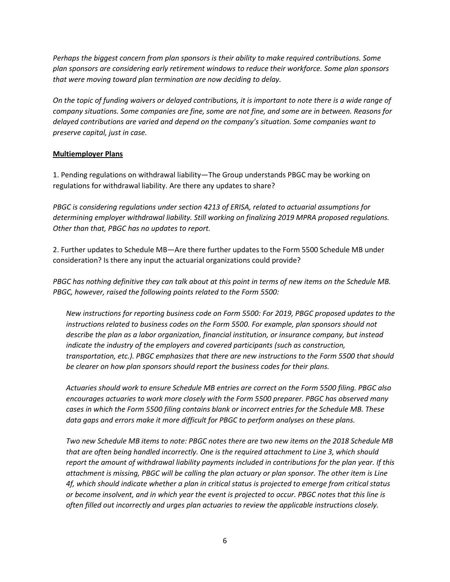*Perhaps the biggest concern from plan sponsors is their ability to make required contributions. Some plan sponsors are considering early retirement windows to reduce their workforce. Some plan sponsors that were moving toward plan termination are now deciding to delay.* 

*On the topic of funding waivers or delayed contributions, it is important to note there is a wide range of company situations. Some companies are fine, some are not fine, and some are in between. Reasons for delayed contributions are varied and depend on the company's situation. Some companies want to preserve capital, just in case.*

### **Multiemployer Plans**

1. Pending regulations on withdrawal liability—The Group understands PBGC may be working on regulations for withdrawal liability. Are there any updates to share?

*PBGC is considering regulations under section 4213 of ERISA, related to actuarial assumptions for determining employer withdrawal liability. Still working on finalizing 2019 MPRA proposed regulations. Other than that, PBGC has no updates to report.*

2. Further updates to Schedule MB—Are there further updates to the Form 5500 Schedule MB under consideration? Is there any input the actuarial organizations could provide?

*PBGC has nothing definitive they can talk about at this point in terms of new items on the Schedule MB. PBGC, however, raised the following points related to the Form 5500:*

*New instructions for reporting business code on Form 5500: For 2019, PBGC proposed updates to the instructions related to business codes on the Form 5500. For example, plan sponsors should not describe the plan as a labor organization, financial institution, or insurance company, but instead indicate the industry of the employers and covered participants (such as construction, transportation, etc.). PBGC emphasizes that there are new instructions to the Form 5500 that should be clearer on how plan sponsors should report the business codes for their plans.*

*Actuaries should work to ensure Schedule MB entries are correct on the Form 5500 filing. PBGC also encourages actuaries to work more closely with the Form 5500 preparer. PBGC has observed many cases in which the Form 5500 filing contains blank or incorrect entries for the Schedule MB. These data gaps and errors make it more difficult for PBGC to perform analyses on these plans.*

*Two new Schedule MB items to note: PBGC notes there are two new items on the 2018 Schedule MB that are often being handled incorrectly. One is the required attachment to Line 3, which should report the amount of withdrawal liability payments included in contributions for the plan year. If this attachment is missing, PBGC will be calling the plan actuary or plan sponsor. The other item is Line 4f, which should indicate whether a plan in critical status is projected to emerge from critical status or become insolvent, and in which year the event is projected to occur. PBGC notes that this line is often filled out incorrectly and urges plan actuaries to review the applicable instructions closely.*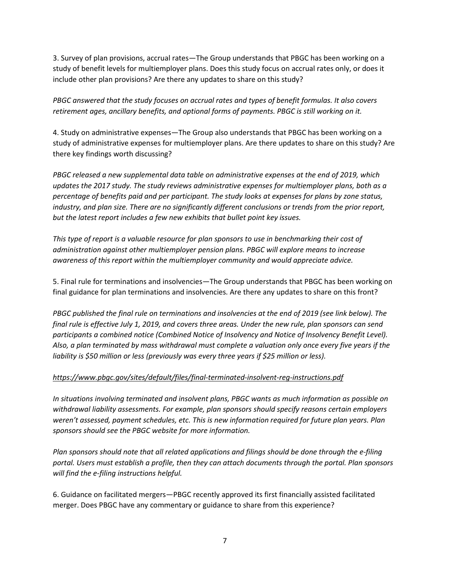3. Survey of plan provisions, accrual rates—The Group understands that PBGC has been working on a study of benefit levels for multiemployer plans. Does this study focus on accrual rates only, or does it include other plan provisions? Are there any updates to share on this study?

*PBGC answered that the study focuses on accrual rates and types of benefit formulas. It also covers retirement ages, ancillary benefits, and optional forms of payments. PBGC is still working on it.*

4. Study on administrative expenses—The Group also understands that PBGC has been working on a study of administrative expenses for multiemployer plans. Are there updates to share on this study? Are there key findings worth discussing?

*PBGC released a new supplemental data table on administrative expenses at the end of 2019, which updates the 2017 study. The study reviews administrative expenses for multiemployer plans, both as a percentage of benefits paid and per participant. The study looks at expenses for plans by zone status, industry, and plan size. There are no significantly different conclusions or trends from the prior report, but the latest report includes a few new exhibits that bullet point key issues.*

*This type of report is a valuable resource for plan sponsors to use in benchmarking their cost of administration against other multiemployer pension plans. PBGC will explore means to increase awareness of this report within the multiemployer community and would appreciate advice.*

5. Final rule for terminations and insolvencies—The Group understands that PBGC has been working on final guidance for plan terminations and insolvencies. Are there any updates to share on this front?

*PBGC published the final rule on terminations and insolvencies at the end of 2019 (see link below). The final rule is effective July 1, 2019, and covers three areas. Under the new rule, plan sponsors can send participants a combined notice (Combined Notice of Insolvency and Notice of Insolvency Benefit Level). Also, a plan terminated by mass withdrawal must complete a valuation only once every five years if the liability is \$50 million or less (previously was every three years if \$25 million or less).*

## *<https://www.pbgc.gov/sites/default/files/final-terminated-insolvent-reg-instructions.pdf>*

*In situations involving terminated and insolvent plans, PBGC wants as much information as possible on withdrawal liability assessments. For example, plan sponsors should specify reasons certain employers weren't assessed, payment schedules, etc. This is new information required for future plan years. Plan sponsors should see the PBGC website for more information.*

*Plan sponsors should note that all related applications and filings should be done through the e-filing portal. Users must establish a profile, then they can attach documents through the portal. Plan sponsors will find the e-filing instructions helpful.*

6. Guidance on facilitated mergers—PBGC recently approved its first financially assisted facilitated merger. Does PBGC have any commentary or guidance to share from this experience?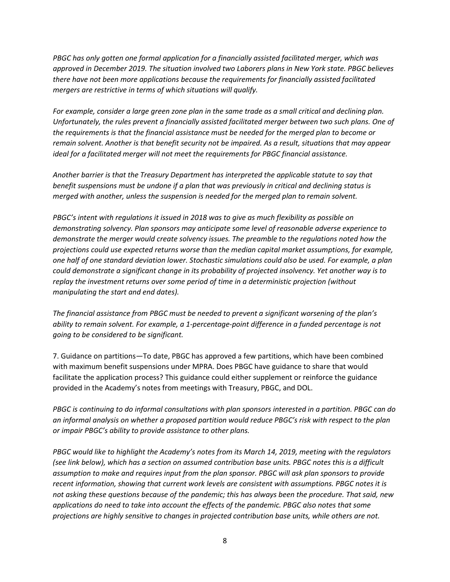*PBGC has only gotten one formal application for a financially assisted facilitated merger, which was approved in December 2019. The situation involved two Laborers plans in New York state. PBGC believes there have not been more applications because the requirements for financially assisted facilitated mergers are restrictive in terms of which situations will qualify.*

*For example, consider a large green zone plan in the same trade as a small critical and declining plan. Unfortunately, the rules prevent a financially assisted facilitated merger between two such plans. One of the requirements is that the financial assistance must be needed for the merged plan to become or remain solvent. Another is that benefit security not be impaired. As a result, situations that may appear ideal for a facilitated merger will not meet the requirements for PBGC financial assistance.*

*Another barrier is that the Treasury Department has interpreted the applicable statute to say that benefit suspensions must be undone if a plan that was previously in critical and declining status is merged with another, unless the suspension is needed for the merged plan to remain solvent.*

*PBGC's intent with regulations it issued in 2018 was to give as much flexibility as possible on demonstrating solvency. Plan sponsors may anticipate some level of reasonable adverse experience to demonstrate the merger would create solvency issues. The preamble to the regulations noted how the projections could use expected returns worse than the median capital market assumptions, for example, one half of one standard deviation lower. Stochastic simulations could also be used. For example, a plan could demonstrate a significant change in its probability of projected insolvency. Yet another way is to replay the investment returns over some period of time in a deterministic projection (without manipulating the start and end dates).*

*The financial assistance from PBGC must be needed to prevent a significant worsening of the plan's ability to remain solvent. For example, a 1-percentage-point difference in a funded percentage is not going to be considered to be significant.*

7. Guidance on partitions—To date, PBGC has approved a few partitions, which have been combined with maximum benefit suspensions under MPRA. Does PBGC have guidance to share that would facilitate the application process? This guidance could either supplement or reinforce the guidance provided in the Academy's notes from meetings with Treasury, PBGC, and DOL.

*PBGC is continuing to do informal consultations with plan sponsors interested in a partition. PBGC can do an informal analysis on whether a proposed partition would reduce PBGC's risk with respect to the plan or impair PBGC's ability to provide assistance to other plans.*

*PBGC would like to highlight the Academy's notes from its March 14, 2019, meeting with the regulators (see link below), which has a section on assumed contribution base units. PBGC notes this is a difficult assumption to make and requires input from the plan sponsor. PBGC will ask plan sponsors to provide recent information, showing that current work levels are consistent with assumptions. PBGC notes it is not asking these questions because of the pandemic; this has always been the procedure. That said, new applications do need to take into account the effects of the pandemic. PBGC also notes that some projections are highly sensitive to changes in projected contribution base units, while others are not.*